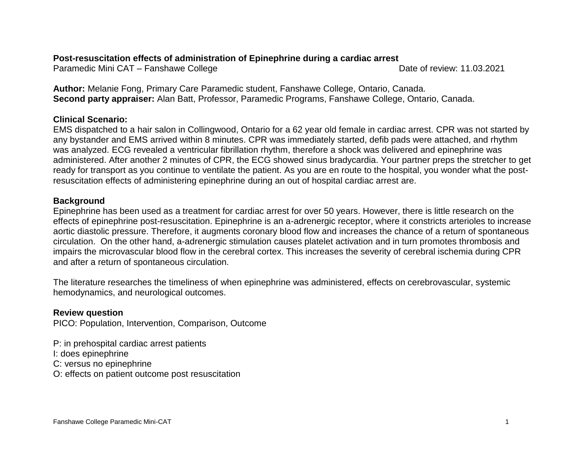# **Post-resuscitation effects of administration of Epinephrine during a cardiac arrest**

Paramedic Mini CAT – Fanshawe College Date of review: 11.03.2021

**Author:** Melanie Fong, Primary Care Paramedic student, Fanshawe College, Ontario, Canada. **Second party appraiser:** Alan Batt, Professor, Paramedic Programs, Fanshawe College, Ontario, Canada.

# **Clinical Scenario:**

EMS dispatched to a hair salon in Collingwood, Ontario for a 62 year old female in cardiac arrest. CPR was not started by any bystander and EMS arrived within 8 minutes. CPR was immediately started, defib pads were attached, and rhythm was analyzed. ECG revealed a ventricular fibrillation rhythm, therefore a shock was delivered and epinephrine was administered. After another 2 minutes of CPR, the ECG showed sinus bradycardia. Your partner preps the stretcher to get ready for transport as you continue to ventilate the patient. As you are en route to the hospital, you wonder what the postresuscitation effects of administering epinephrine during an out of hospital cardiac arrest are.

# **Background**

Epinephrine has been used as a treatment for cardiac arrest for over 50 years. However, there is little research on the effects of epinephrine post-resuscitation. Epinephrine is an a-adrenergic receptor, where it constricts arterioles to increase aortic diastolic pressure. Therefore, it augments coronary blood flow and increases the chance of a return of spontaneous circulation. On the other hand, a-adrenergic stimulation causes platelet activation and in turn promotes thrombosis and impairs the microvascular blood flow in the cerebral cortex. This increases the severity of cerebral ischemia during CPR and after a return of spontaneous circulation.

The literature researches the timeliness of when epinephrine was administered, effects on cerebrovascular, systemic hemodynamics, and neurological outcomes.

# **Review question**

PICO: Population, Intervention, Comparison, Outcome

P: in prehospital cardiac arrest patients

I: does epinephrine

C: versus no epinephrine

O: effects on patient outcome post resuscitation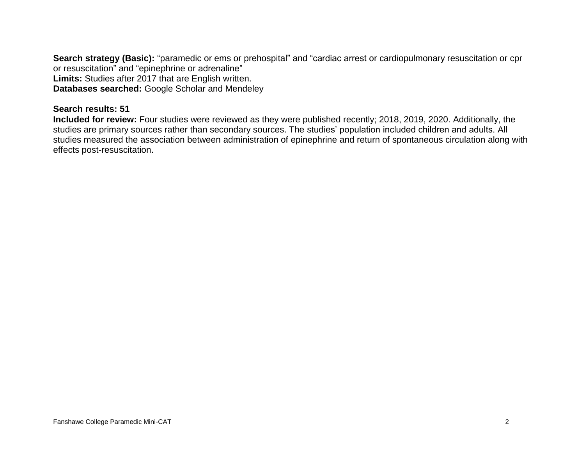**Search strategy (Basic):** "paramedic or ems or prehospital" and "cardiac arrest or cardiopulmonary resuscitation or cpr or resuscitation" and "epinephrine or adrenaline" **Limits:** Studies after 2017 that are English written. **Databases searched:** Google Scholar and Mendeley

## **Search results: 51**

**Included for review:** Four studies were reviewed as they were published recently; 2018, 2019, 2020. Additionally, the studies are primary sources rather than secondary sources. The studies' population included children and adults. All studies measured the association between administration of epinephrine and return of spontaneous circulation along with effects post-resuscitation.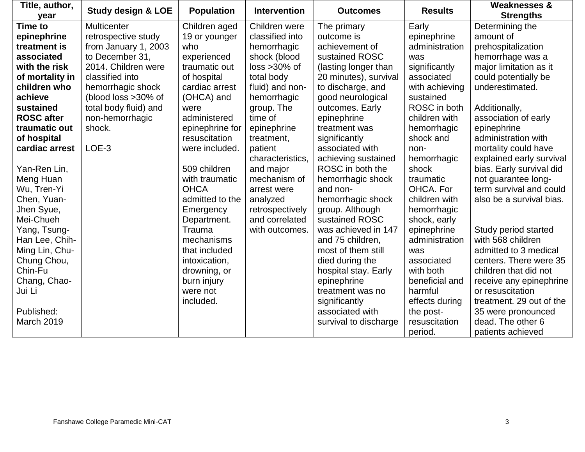| Title, author,<br>year | <b>Study design &amp; LOE</b> | <b>Population</b> | <b>Intervention</b> | <b>Outcomes</b>       | <b>Results</b> | <b>Weaknesses &amp;</b><br><b>Strengths</b> |
|------------------------|-------------------------------|-------------------|---------------------|-----------------------|----------------|---------------------------------------------|
| <b>Time to</b>         | <b>Multicenter</b>            | Children aged     | Children were       | The primary           | Early          | Determining the                             |
| epinephrine            | retrospective study           | 19 or younger     | classified into     | outcome is            | epinephrine    | amount of                                   |
| treatment is           | from January 1, 2003          | who               | hemorrhagic         | achievement of        | administration | prehospitalization                          |
| associated             | to December 31,               | experienced       | shock (blood        | sustained ROSC        | was            | hemorrhage was a                            |
| with the risk          | 2014. Children were           | traumatic out     | $loss > 30\%$ of    | (lasting longer than  | significantly  | major limitation as it                      |
| of mortality in        | classified into               | of hospital       | total body          | 20 minutes), survival | associated     | could potentially be                        |
| children who           | hemorrhagic shock             | cardiac arrest    | fluid) and non-     | to discharge, and     | with achieving | underestimated.                             |
| achieve                | (blood loss >30% of           | (OHCA) and        | hemorrhagic         | good neurological     | sustained      |                                             |
| sustained              | total body fluid) and         | were              | group. The          | outcomes. Early       | ROSC in both   | Additionally,                               |
| <b>ROSC</b> after      | non-hemorrhagic               | administered      | time of             | epinephrine           | children with  | association of early                        |
| traumatic out          | shock.                        | epinephrine for   | epinephrine         | treatment was         | hemorrhagic    | epinephrine                                 |
| of hospital            |                               | resuscitation     | treatment,          | significantly         | shock and      | administration with                         |
| cardiac arrest         | LOE-3                         | were included.    | patient             | associated with       | non-           | mortality could have                        |
|                        |                               |                   | characteristics.    | achieving sustained   | hemorrhagic    | explained early survival                    |
| Yan-Ren Lin,           |                               | 509 children      | and major           | ROSC in both the      | shock          | bias. Early survival did                    |
| Meng Huan              |                               | with traumatic    | mechanism of        | hemorrhagic shock     | traumatic      | not guarantee long-                         |
| Wu, Tren-Yi            |                               | <b>OHCA</b>       | arrest were         | and non-              | OHCA, For      | term survival and could                     |
| Chen, Yuan-            |                               | admitted to the   | analyzed            | hemorrhagic shock     | children with  | also be a survival bias.                    |
| Jhen Syue,             |                               | Emergency         | retrospectively     | group. Although       | hemorrhagic    |                                             |
| Mei-Chueh              |                               | Department.       | and correlated      | sustained ROSC        | shock, early   |                                             |
| Yang, Tsung-           |                               | Trauma            | with outcomes.      | was achieved in 147   | epinephrine    | Study period started                        |
| Han Lee, Chih-         |                               | mechanisms        |                     | and 75 children,      | administration | with 568 children                           |
| Ming Lin, Chu-         |                               | that included     |                     | most of them still    | was            | admitted to 3 medical                       |
| Chung Chou,            |                               | intoxication,     |                     | died during the       | associated     | centers. There were 35                      |
| Chin-Fu                |                               | drowning, or      |                     | hospital stay. Early  | with both      | children that did not                       |
| Chang, Chao-           |                               | burn injury       |                     | epinephrine           | beneficial and | receive any epinephrine                     |
| Jui Li                 |                               | were not          |                     | treatment was no      | harmful        | or resuscitation                            |
|                        |                               | included.         |                     | significantly         | effects during | treatment. 29 out of the                    |
| Published:             |                               |                   |                     | associated with       | the post-      | 35 were pronounced                          |
| March 2019             |                               |                   |                     | survival to discharge | resuscitation  | dead. The other 6                           |
|                        |                               |                   |                     |                       | period.        | patients achieved                           |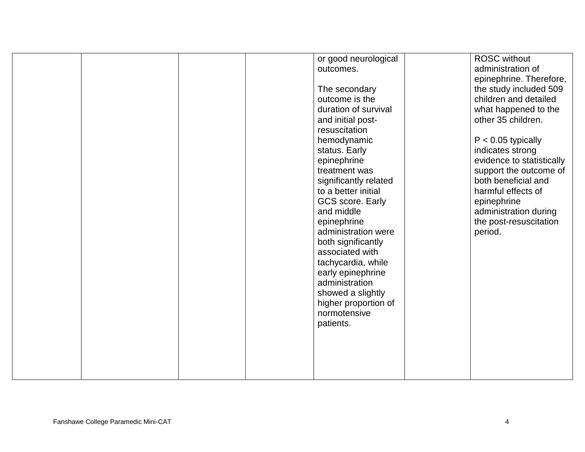|  |  | or good neurological<br>outcomes.<br>The secondary<br>outcome is the<br>duration of survival<br>and initial post-<br>resuscitation<br>hemodynamic<br>status. Early<br>epinephrine<br>treatment was<br>significantly related<br>to a better initial<br><b>GCS score. Early</b><br>and middle<br>epinephrine<br>administration were<br>both significantly<br>associated with<br>tachycardia, while<br>early epinephrine<br>administration<br>showed a slightly<br>higher proportion of<br>normotensive<br>patients. | <b>ROSC</b> without<br>administration of<br>epinephrine. Therefore,<br>the study included 509<br>children and detailed<br>what happened to the<br>other 35 children.<br>$P < 0.05$ typically<br>indicates strong<br>evidence to statistically<br>support the outcome of<br>both beneficial and<br>harmful effects of<br>epinephrine<br>administration during<br>the post-resuscitation<br>period. |
|--|--|-------------------------------------------------------------------------------------------------------------------------------------------------------------------------------------------------------------------------------------------------------------------------------------------------------------------------------------------------------------------------------------------------------------------------------------------------------------------------------------------------------------------|---------------------------------------------------------------------------------------------------------------------------------------------------------------------------------------------------------------------------------------------------------------------------------------------------------------------------------------------------------------------------------------------------|
|  |  |                                                                                                                                                                                                                                                                                                                                                                                                                                                                                                                   |                                                                                                                                                                                                                                                                                                                                                                                                   |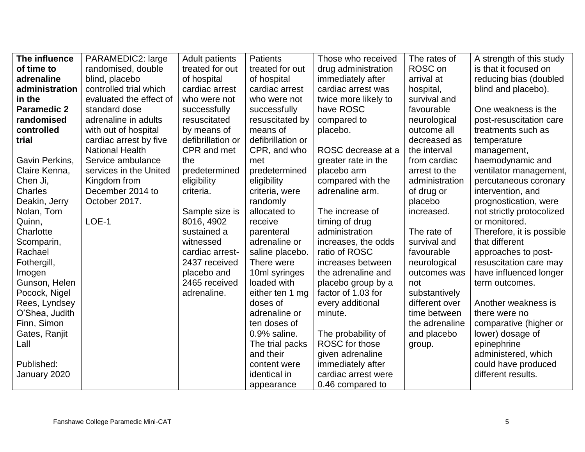| The influence      | <b>PARAMEDIC2: large</b> | <b>Adult patients</b> | <b>Patients</b>   | Those who received    | The rates of   | A strength of this study  |
|--------------------|--------------------------|-----------------------|-------------------|-----------------------|----------------|---------------------------|
| of time to         | randomised, double       | treated for out       | treated for out   | drug administration   | ROSC on        | is that it focused on     |
| adrenaline         | blind, placebo           | of hospital           | of hospital       | immediately after     | arrival at     | reducing bias (doubled    |
| administration     | controlled trial which   | cardiac arrest        | cardiac arrest    | cardiac arrest was    | hospital,      | blind and placebo).       |
| in the             | evaluated the effect of  | who were not          | who were not      | twice more likely to  | survival and   |                           |
| <b>Paramedic 2</b> | standard dose            | successfully          | successfully      | have ROSC             | favourable     | One weakness is the       |
| randomised         | adrenaline in adults     | resuscitated          | resuscitated by   | compared to           | neurological   | post-resuscitation care   |
| controlled         | with out of hospital     | by means of           | means of          | placebo.              | outcome all    | treatments such as        |
| trial              | cardiac arrest by five   | defibrillation or     | defibrillation or |                       | decreased as   | temperature               |
|                    | <b>National Health</b>   | CPR and met           | CPR, and who      | ROSC decrease at a    | the interval   | management,               |
| Gavin Perkins,     | Service ambulance        | the                   | met               | greater rate in the   | from cardiac   | haemodynamic and          |
| Claire Kenna,      | services in the United   | predetermined         | predetermined     | placebo arm           | arrest to the  | ventilator management,    |
| Chen Ji,           | Kingdom from             | eligibility           | eligibility       | compared with the     | administration | percutaneous coronary     |
| Charles            | December 2014 to         | criteria.             | criteria, were    | adrenaline arm.       | of drug or     | intervention, and         |
| Deakin, Jerry      | October 2017.            |                       | randomly          |                       | placebo        | prognostication, were     |
| Nolan, Tom         |                          | Sample size is        | allocated to      | The increase of       | increased.     | not strictly protocolized |
| Quinn,             | LOE-1                    | 8016, 4902            | receive           | timing of drug        |                | or monitored.             |
| Charlotte          |                          | sustained a           | parenteral        | administration        | The rate of    | Therefore, it is possible |
| Scomparin,         |                          | witnessed             | adrenaline or     | increases, the odds   | survival and   | that different            |
| Rachael            |                          | cardiac arrest-       | saline placebo.   | ratio of ROSC         | favourable     | approaches to post-       |
| Fothergill,        |                          | 2437 received         | There were        | increases between     | neurological   | resuscitation care may    |
| Imogen             |                          | placebo and           | 10ml syringes     | the adrenaline and    | outcomes was   | have influenced longer    |
| Gunson, Helen      |                          | 2465 received         | loaded with       | placebo group by a    | not            | term outcomes.            |
| Pocock, Nigel      |                          | adrenaline.           | either ten 1 mg   | factor of 1.03 for    | substantively  |                           |
| Rees, Lyndsey      |                          |                       | doses of          | every additional      | different over | Another weakness is       |
| O'Shea, Judith     |                          |                       | adrenaline or     | minute.               | time between   | there were no             |
| Finn, Simon        |                          |                       | ten doses of      |                       | the adrenaline | comparative (higher or    |
| Gates, Ranjit      |                          |                       | $0.9\%$ saline.   | The probability of    | and placebo    | lower) dosage of          |
| Lall               |                          |                       | The trial packs   | <b>ROSC</b> for those | group.         | epinephrine               |
|                    |                          |                       | and their         | given adrenaline      |                | administered, which       |
| Published:         |                          |                       | content were      | immediately after     |                | could have produced       |
| January 2020       |                          |                       | identical in      | cardiac arrest were   |                | different results.        |
|                    |                          |                       | appearance        | 0.46 compared to      |                |                           |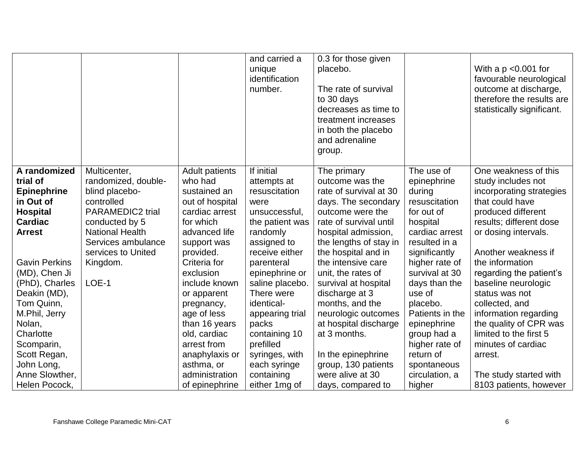|                                                                                                                   |                                                                                                                                                                                        |                                                                                                                                                 | and carried a<br>unique<br>identification<br>number.                                                                                | 0.3 for those given<br>placebo.<br>The rate of survival<br>to 30 days<br>decreases as time to<br>treatment increases<br>in both the placebo<br>and adrenaline<br>group.                               |                                                                                                                                    | With a $p \le 0.001$ for<br>favourable neurological<br>outcome at discharge,<br>therefore the results are<br>statistically significant.                                                   |
|-------------------------------------------------------------------------------------------------------------------|----------------------------------------------------------------------------------------------------------------------------------------------------------------------------------------|-------------------------------------------------------------------------------------------------------------------------------------------------|-------------------------------------------------------------------------------------------------------------------------------------|-------------------------------------------------------------------------------------------------------------------------------------------------------------------------------------------------------|------------------------------------------------------------------------------------------------------------------------------------|-------------------------------------------------------------------------------------------------------------------------------------------------------------------------------------------|
| A randomized<br>trial of<br><b>Epinephrine</b><br>in Out of<br><b>Hospital</b><br><b>Cardiac</b><br><b>Arrest</b> | Multicenter,<br>randomized, double-<br>blind placebo-<br>controlled<br><b>PARAMEDIC2 trial</b><br>conducted by 5<br><b>National Health</b><br>Services ambulance<br>services to United | <b>Adult patients</b><br>who had<br>sustained an<br>out of hospital<br>cardiac arrest<br>for which<br>advanced life<br>support was<br>provided. | If initial<br>attempts at<br>resuscitation<br>were<br>unsuccessful,<br>the patient was<br>randomly<br>assigned to<br>receive either | The primary<br>outcome was the<br>rate of survival at 30<br>days. The secondary<br>outcome were the<br>rate of survival until<br>hospital admission,<br>the lengths of stay in<br>the hospital and in | The use of<br>epinephrine<br>during<br>resuscitation<br>for out of<br>hospital<br>cardiac arrest<br>resulted in a<br>significantly | One weakness of this<br>study includes not<br>incorporating strategies<br>that could have<br>produced different<br>results; different dose<br>or dosing intervals.<br>Another weakness if |
| <b>Gavin Perkins</b><br>(MD), Chen Ji                                                                             | Kingdom.                                                                                                                                                                               | Criteria for<br>exclusion                                                                                                                       | parenteral<br>epinephrine or                                                                                                        | the intensive care<br>unit, the rates of                                                                                                                                                              | higher rate of<br>survival at 30                                                                                                   | the information<br>regarding the patient's                                                                                                                                                |
| (PhD), Charles                                                                                                    | LOE-1                                                                                                                                                                                  | include known                                                                                                                                   | saline placebo.                                                                                                                     | survival at hospital                                                                                                                                                                                  | days than the                                                                                                                      | baseline neurologic                                                                                                                                                                       |
| Deakin (MD),<br>Tom Quinn,                                                                                        |                                                                                                                                                                                        | or apparent<br>pregnancy,                                                                                                                       | There were<br>identical-                                                                                                            | discharge at 3<br>months, and the                                                                                                                                                                     | use of<br>placebo.                                                                                                                 | status was not<br>collected, and                                                                                                                                                          |
| M.Phil, Jerry                                                                                                     |                                                                                                                                                                                        | age of less                                                                                                                                     | appearing trial                                                                                                                     | neurologic outcomes                                                                                                                                                                                   | Patients in the                                                                                                                    | information regarding                                                                                                                                                                     |
| Nolan,                                                                                                            |                                                                                                                                                                                        | than 16 years                                                                                                                                   | packs                                                                                                                               | at hospital discharge                                                                                                                                                                                 | epinephrine                                                                                                                        | the quality of CPR was                                                                                                                                                                    |
| Charlotte<br>Scomparin,                                                                                           |                                                                                                                                                                                        | old, cardiac<br>arrest from                                                                                                                     | containing 10<br>prefilled                                                                                                          | at 3 months.                                                                                                                                                                                          | group had a<br>higher rate of                                                                                                      | limited to the first 5<br>minutes of cardiac                                                                                                                                              |
| Scott Regan,                                                                                                      |                                                                                                                                                                                        | anaphylaxis or                                                                                                                                  | syringes, with                                                                                                                      | In the epinephrine                                                                                                                                                                                    | return of                                                                                                                          | arrest.                                                                                                                                                                                   |
| John Long,                                                                                                        |                                                                                                                                                                                        | asthma, or                                                                                                                                      | each syringe                                                                                                                        | group, 130 patients                                                                                                                                                                                   | spontaneous                                                                                                                        |                                                                                                                                                                                           |
| Anne Slowther,                                                                                                    |                                                                                                                                                                                        | administration                                                                                                                                  | containing                                                                                                                          | were alive at 30                                                                                                                                                                                      | circulation, a                                                                                                                     | The study started with                                                                                                                                                                    |
| Helen Pocock,                                                                                                     |                                                                                                                                                                                        | of epinephrine                                                                                                                                  | either 1 mg of                                                                                                                      | days, compared to                                                                                                                                                                                     | higher                                                                                                                             | 8103 patients, however                                                                                                                                                                    |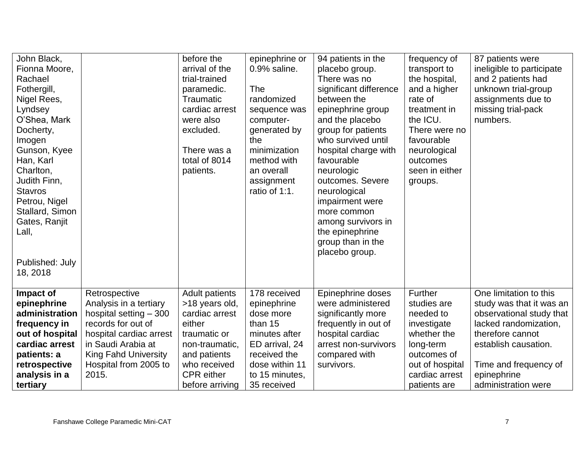| John Black,<br>before the<br>epinephrine or<br>94 patients in the<br>frequency of<br>arrival of the<br>0.9% saline.<br>Fionna Moore,<br>placebo group.<br>transport to<br>Rachael<br>trial-trained<br>There was no<br>the hospital,<br>significant difference<br>Fothergill,<br>The<br>and a higher<br>paramedic.<br>Nigel Rees,<br>Traumatic<br>randomized<br>between the<br>rate of<br>cardiac arrest<br>epinephrine group<br>treatment in<br>Lyndsey<br>sequence was<br>O'Shea, Mark<br>the ICU.<br>and the placebo<br>numbers.<br>were also<br>computer-<br>excluded.<br>group for patients<br>Docherty,<br>generated by<br>There were no<br>who survived until<br>favourable<br>Imogen<br>the<br>Gunson, Kyee<br>minimization<br>hospital charge with<br>There was a<br>neurological<br>total of 8014<br>Han, Karl<br>method with<br>favourable<br>outcomes<br>seen in either<br>Charlton,<br>an overall<br>neurologic<br>patients.<br>outcomes. Severe<br>Judith Finn,<br>assignment<br>groups.<br>ratio of 1:1.<br><b>Stavros</b><br>neurological<br>Petrou, Nigel<br>impairment were<br>Stallard, Simon<br>more common<br>Gates, Ranjit<br>among survivors in<br>Lall,<br>the epinephrine<br>group than in the<br>placebo group.<br>Published: July<br>18, 2018 | 87 patients were<br>ineligible to participate<br>and 2 patients had<br>unknown trial-group<br>assignments due to<br>missing trial-pack |
|-------------------------------------------------------------------------------------------------------------------------------------------------------------------------------------------------------------------------------------------------------------------------------------------------------------------------------------------------------------------------------------------------------------------------------------------------------------------------------------------------------------------------------------------------------------------------------------------------------------------------------------------------------------------------------------------------------------------------------------------------------------------------------------------------------------------------------------------------------------------------------------------------------------------------------------------------------------------------------------------------------------------------------------------------------------------------------------------------------------------------------------------------------------------------------------------------------------------------------------------------------------------------|----------------------------------------------------------------------------------------------------------------------------------------|
|                                                                                                                                                                                                                                                                                                                                                                                                                                                                                                                                                                                                                                                                                                                                                                                                                                                                                                                                                                                                                                                                                                                                                                                                                                                                         |                                                                                                                                        |
| Further<br>Retrospective<br><b>Adult patients</b><br>178 received<br>Epinephrine doses<br>Impact of<br>Analysis in a tertiary<br>epinephrine<br>>18 years old,<br>epinephrine<br>were administered<br>studies are                                                                                                                                                                                                                                                                                                                                                                                                                                                                                                                                                                                                                                                                                                                                                                                                                                                                                                                                                                                                                                                       | One limitation to this<br>study was that it was an                                                                                     |
| significantly more<br>administration<br>hospital setting $-300$<br>cardiac arrest<br>needed to<br>dose more                                                                                                                                                                                                                                                                                                                                                                                                                                                                                                                                                                                                                                                                                                                                                                                                                                                                                                                                                                                                                                                                                                                                                             | observational study that                                                                                                               |
| records for out of<br>either<br>than 15<br>frequently in out of<br>frequency in<br>investigate                                                                                                                                                                                                                                                                                                                                                                                                                                                                                                                                                                                                                                                                                                                                                                                                                                                                                                                                                                                                                                                                                                                                                                          | lacked randomization,                                                                                                                  |
| out of hospital<br>hospital cardiac arrest<br>traumatic or<br>hospital cardiac<br>whether the<br>minutes after                                                                                                                                                                                                                                                                                                                                                                                                                                                                                                                                                                                                                                                                                                                                                                                                                                                                                                                                                                                                                                                                                                                                                          | therefore cannot                                                                                                                       |
| in Saudi Arabia at<br>cardiac arrest<br>ED arrival, 24<br>arrest non-survivors<br>non-traumatic,<br>long-term                                                                                                                                                                                                                                                                                                                                                                                                                                                                                                                                                                                                                                                                                                                                                                                                                                                                                                                                                                                                                                                                                                                                                           | establish causation.                                                                                                                   |
| <b>King Fahd University</b><br>patients: a<br>and patients<br>received the<br>compared with<br>outcomes of<br>dose within 11<br>who received<br>survivors.                                                                                                                                                                                                                                                                                                                                                                                                                                                                                                                                                                                                                                                                                                                                                                                                                                                                                                                                                                                                                                                                                                              |                                                                                                                                        |
| Hospital from 2005 to<br>retrospective<br>out of hospital<br>CPR either<br>analysis in a<br>2015.<br>to 15 minutes,<br>cardiac arrest<br>epinephrine                                                                                                                                                                                                                                                                                                                                                                                                                                                                                                                                                                                                                                                                                                                                                                                                                                                                                                                                                                                                                                                                                                                    | Time and frequency of                                                                                                                  |
| tertiary<br>35 received<br>before arriving<br>patients are                                                                                                                                                                                                                                                                                                                                                                                                                                                                                                                                                                                                                                                                                                                                                                                                                                                                                                                                                                                                                                                                                                                                                                                                              | administration were                                                                                                                    |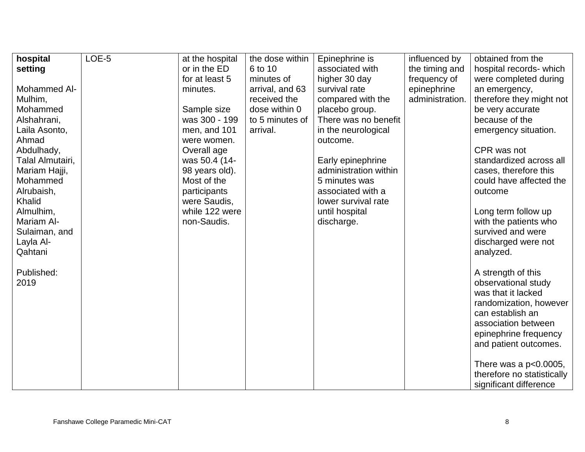| hospital             | LOE-5 | at the hospital              | the dose within | Epinephrine is                           | influenced by   | obtained from the          |
|----------------------|-------|------------------------------|-----------------|------------------------------------------|-----------------|----------------------------|
| setting              |       | or in the ED                 | 6 to 10         | associated with                          | the timing and  | hospital records- which    |
|                      |       | for at least 5               | minutes of      | higher 30 day                            | frequency of    | were completed during      |
| Mohammed Al-         |       | minutes.                     | arrival, and 63 | survival rate                            | epinephrine     | an emergency,              |
| Mulhim,              |       |                              | received the    | compared with the                        | administration. | therefore they might not   |
| Mohammed             |       | Sample size                  | dose within 0   | placebo group.                           |                 | be very accurate           |
| Alshahrani,          |       | was 300 - 199                | to 5 minutes of | There was no benefit                     |                 | because of the             |
| Laila Asonto,        |       | men, and 101                 | arrival.        | in the neurological                      |                 | emergency situation.       |
| Ahmad                |       | were women.                  |                 | outcome.                                 |                 |                            |
| Abdulhady,           |       | Overall age                  |                 |                                          |                 | CPR was not                |
| Talal Almutairi,     |       | was 50.4 (14-                |                 | Early epinephrine                        |                 | standardized across all    |
| Mariam Hajji,        |       | 98 years old).               |                 | administration within                    |                 | cases, therefore this      |
| Mohammed             |       | Most of the                  |                 | 5 minutes was                            |                 | could have affected the    |
| Alrubaish,<br>Khalid |       | participants<br>were Saudis, |                 | associated with a<br>lower survival rate |                 | outcome                    |
| Almulhim,            |       | while 122 were               |                 | until hospital                           |                 | Long term follow up        |
| Mariam Al-           |       | non-Saudis.                  |                 | discharge.                               |                 | with the patients who      |
| Sulaiman, and        |       |                              |                 |                                          |                 | survived and were          |
| Layla Al-            |       |                              |                 |                                          |                 | discharged were not        |
| Qahtani              |       |                              |                 |                                          |                 | analyzed.                  |
|                      |       |                              |                 |                                          |                 |                            |
| Published:           |       |                              |                 |                                          |                 | A strength of this         |
| 2019                 |       |                              |                 |                                          |                 | observational study        |
|                      |       |                              |                 |                                          |                 | was that it lacked         |
|                      |       |                              |                 |                                          |                 | randomization, however     |
|                      |       |                              |                 |                                          |                 | can establish an           |
|                      |       |                              |                 |                                          |                 | association between        |
|                      |       |                              |                 |                                          |                 | epinephrine frequency      |
|                      |       |                              |                 |                                          |                 | and patient outcomes.      |
|                      |       |                              |                 |                                          |                 |                            |
|                      |       |                              |                 |                                          |                 | There was a $p<0.0005$ ,   |
|                      |       |                              |                 |                                          |                 | therefore no statistically |
|                      |       |                              |                 |                                          |                 | significant difference     |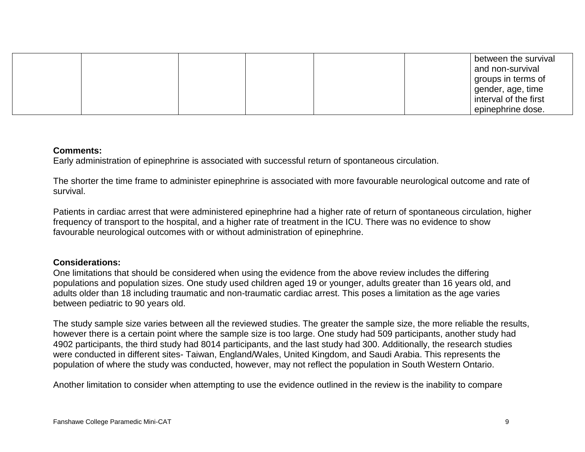|  |  |  | between the survival<br>and non-survival |
|--|--|--|------------------------------------------|
|  |  |  | groups in terms of                       |
|  |  |  | gender, age, time                        |
|  |  |  | interval of the first                    |
|  |  |  | epinephrine dose.                        |

#### **Comments:**

Early administration of epinephrine is associated with successful return of spontaneous circulation.

The shorter the time frame to administer epinephrine is associated with more favourable neurological outcome and rate of survival.

Patients in cardiac arrest that were administered epinephrine had a higher rate of return of spontaneous circulation, higher frequency of transport to the hospital, and a higher rate of treatment in the ICU. There was no evidence to show favourable neurological outcomes with or without administration of epinephrine.

## **Considerations:**

One limitations that should be considered when using the evidence from the above review includes the differing populations and population sizes. One study used children aged 19 or younger, adults greater than 16 years old, and adults older than 18 including traumatic and non-traumatic cardiac arrest. This poses a limitation as the age varies between pediatric to 90 years old.

The study sample size varies between all the reviewed studies. The greater the sample size, the more reliable the results, however there is a certain point where the sample size is too large. One study had 509 participants, another study had 4902 participants, the third study had 8014 participants, and the last study had 300. Additionally, the research studies were conducted in different sites- Taiwan, England/Wales, United Kingdom, and Saudi Arabia. This represents the population of where the study was conducted, however, may not reflect the population in South Western Ontario.

Another limitation to consider when attempting to use the evidence outlined in the review is the inability to compare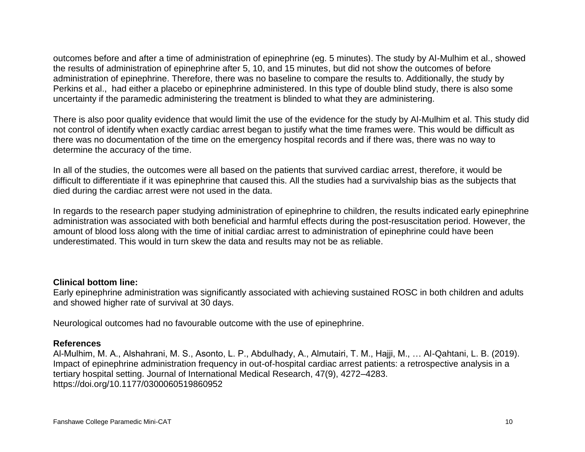outcomes before and after a time of administration of epinephrine (eg. 5 minutes). The study by Al-Mulhim et al., showed the results of administration of epinephrine after 5, 10, and 15 minutes, but did not show the outcomes of before administration of epinephrine. Therefore, there was no baseline to compare the results to. Additionally, the study by Perkins et al., had either a placebo or epinephrine administered. In this type of double blind study, there is also some uncertainty if the paramedic administering the treatment is blinded to what they are administering.

There is also poor quality evidence that would limit the use of the evidence for the study by Al-Mulhim et al. This study did not control of identify when exactly cardiac arrest began to justify what the time frames were. This would be difficult as there was no documentation of the time on the emergency hospital records and if there was, there was no way to determine the accuracy of the time.

In all of the studies, the outcomes were all based on the patients that survived cardiac arrest, therefore, it would be difficult to differentiate if it was epinephrine that caused this. All the studies had a survivalship bias as the subjects that died during the cardiac arrest were not used in the data.

In regards to the research paper studying administration of epinephrine to children, the results indicated early epinephrine administration was associated with both beneficial and harmful effects during the post-resuscitation period. However, the amount of blood loss along with the time of initial cardiac arrest to administration of epinephrine could have been underestimated. This would in turn skew the data and results may not be as reliable.

## **Clinical bottom line:**

Early epinephrine administration was significantly associated with achieving sustained ROSC in both children and adults and showed higher rate of survival at 30 days.

Neurological outcomes had no favourable outcome with the use of epinephrine.

## **References**

Al-Mulhim, M. A., Alshahrani, M. S., Asonto, L. P., Abdulhady, A., Almutairi, T. M., Hajji, M., … Al-Qahtani, L. B. (2019). Impact of epinephrine administration frequency in out-of-hospital cardiac arrest patients: a retrospective analysis in a tertiary hospital setting. Journal of International Medical Research, 47(9), 4272–4283. https://doi.org/10.1177/0300060519860952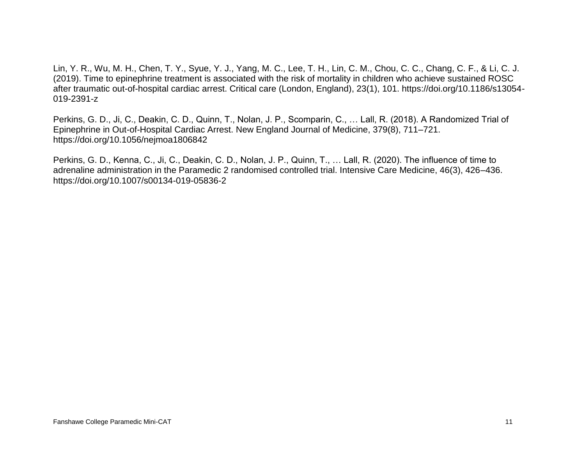Lin, Y. R., Wu, M. H., Chen, T. Y., Syue, Y. J., Yang, M. C., Lee, T. H., Lin, C. M., Chou, C. C., Chang, C. F., & Li, C. J. (2019). Time to epinephrine treatment is associated with the risk of mortality in children who achieve sustained ROSC after traumatic out-of-hospital cardiac arrest. Critical care (London, England), 23(1), 101. https://doi.org/10.1186/s13054- 019-2391-z

Perkins, G. D., Ji, C., Deakin, C. D., Quinn, T., Nolan, J. P., Scomparin, C., … Lall, R. (2018). A Randomized Trial of Epinephrine in Out-of-Hospital Cardiac Arrest. New England Journal of Medicine, 379(8), 711–721. https://doi.org/10.1056/nejmoa1806842

Perkins, G. D., Kenna, C., Ji, C., Deakin, C. D., Nolan, J. P., Quinn, T., … Lall, R. (2020). The influence of time to adrenaline administration in the Paramedic 2 randomised controlled trial. Intensive Care Medicine, 46(3), 426–436. https://doi.org/10.1007/s00134-019-05836-2